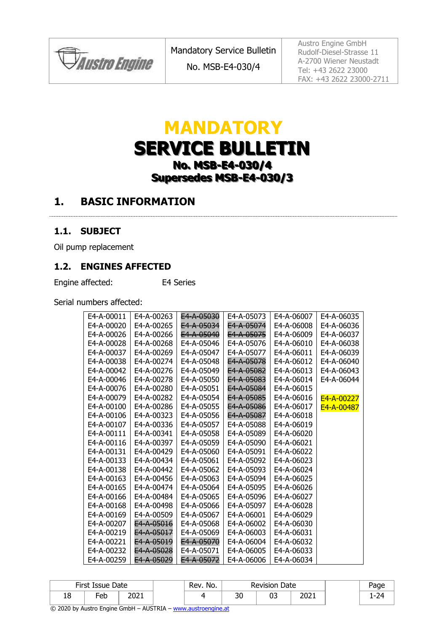*Paustro Engine* 

Austro Engine GmbH Rudolf-Diesel-Strasse 11 A-2700 Wiener Neustadt Tel: +43 2622 23000 FAX: +43 2622 23000-2711

# **MANDATORY SERVICE BULLETIN No. MSB-E4-030/4 Supersedes MSB-E4-030/3**

### **1. BASIC INFORMATION**

#### **1.1. SUBJECT**

Oil pump replacement

#### **1.2. ENGINES AFFECTED**

Engine affected: E4 Series

Serial numbers affected:

| E4-A-00011 | E4-A-00263            | E4-A-05030 | E4-A-05073 | E4-A-06007 | E4-A-06035 |
|------------|-----------------------|------------|------------|------------|------------|
| E4-A-00020 | E4-A-00265            | E4-A-05034 | E4-A-05074 | E4-A-06008 | E4-A-06036 |
| E4-A-00026 | E4-A-00266            | E4-A-05040 | E4-A-05075 | E4-A-06009 | E4-A-06037 |
| E4-A-00028 | E4-A-00268            | E4-A-05046 | E4-A-05076 | E4-A-06010 | E4-A-06038 |
| E4-A-00037 | E4-A-00269            | E4-A-05047 | E4-A-05077 | E4-A-06011 | E4-A-06039 |
| E4-A-00038 | E4-A-00274            | E4-A-05048 | E4-A-05078 | E4-A-06012 | E4-A-06040 |
| E4-A-00042 | E4-A-00276            | E4-A-05049 | E4-A-05082 | E4-A-06013 | E4-A-06043 |
| E4-A-00046 | E4-A-00278            | E4-A-05050 | E4-A-05083 | E4-A-06014 | E4-A-06044 |
| E4-A-00076 | E4-A-00280            | E4-A-05051 | E4-A-05084 | E4-A-06015 |            |
| E4-A-00079 | E4-A-00282            | E4-A-05054 | E4-A-05085 | E4-A-06016 | E4-A-00227 |
| E4-A-00100 | E4-A-00286            | E4-A-05055 | E4-A-05086 | E4-A-06017 | E4-A-00487 |
| E4-A-00106 | E4-A-00323            | E4-A-05056 | E4-A-05087 | E4-A-06018 |            |
| E4-A-00107 | E4-A-00336            | E4-A-05057 | E4-A-05088 | E4-A-06019 |            |
| E4-A-00111 | E4-A-00341            | E4-A-05058 | E4-A-05089 | E4-A-06020 |            |
| E4-A-00116 | E4-A-00397            | E4-A-05059 | E4-A-05090 | E4-A-06021 |            |
| E4-A-00131 | E4-A-00429            | E4-A-05060 | E4-A-05091 | E4-A-06022 |            |
| E4-A-00133 | E4-A-00434            | E4-A-05061 | E4-A-05092 | E4-A-06023 |            |
| E4-A-00138 | E4-A-00442            | E4-A-05062 | E4-A-05093 | E4-A-06024 |            |
| E4-A-00163 | E4-A-00456            | E4-A-05063 | E4-A-05094 | E4-A-06025 |            |
| E4-A-00165 | E4-A-00474            | E4-A-05064 | E4-A-05095 | E4-A-06026 |            |
| E4-A-00166 | E4-A-00484            | E4-A-05065 | E4-A-05096 | E4-A-06027 |            |
| E4-A-00168 | E4-A-00498            | E4-A-05066 | E4-A-05097 | E4-A-06028 |            |
| E4-A-00169 | E4-A-00509            | E4-A-05067 | E4-A-06001 | E4-A-06029 |            |
| E4-A-00207 | E4-A-05016            | E4-A-05068 | E4-A-06002 | E4-A-06030 |            |
| E4-A-00219 | E4-A-05017            | E4-A-05069 | E4-A-06003 | E4-A-06031 |            |
| E4-A-00221 | E4-A-05019            | E4-A-05070 | E4-A-06004 | E4-A-06032 |            |
| E4-A-00232 | E4-A-05028            | E4-A-05071 | E4-A-06005 | E4-A-06033 |            |
| E4-A-00259 | <del>E4-A-05029</del> | E4-A-05072 | E4-A-06006 | E4-A-06034 |            |

|    | First Issue Date |      | Rev. No. |           | <b>Revision Date</b> |      | Page |
|----|------------------|------|----------|-----------|----------------------|------|------|
| 18 | =eb              | 2021 |          | ົາດ<br>υc | ∩−<br>υ.             | 2021 | 74   |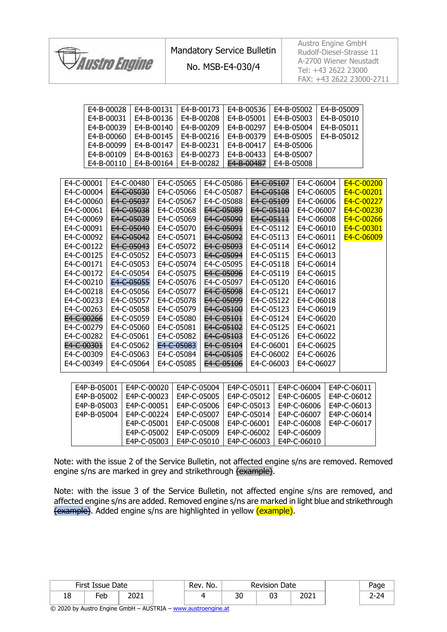

Austro Engine GmbH Rudolf-Diesel-Strasse 11 A-2700 Wiener Neustadt Tel: +43 2622 23000 FAX: +43 2622 23000-2711

| E4-B-00028  |             | E4-B-00131 |             | E4-B-00173 |            | E4-B-00536     | E4-B-05002 |             | E4-B-05009  |            |
|-------------|-------------|------------|-------------|------------|------------|----------------|------------|-------------|-------------|------------|
| E4-B-00031  |             | E4-B-00136 |             | E4-B-00208 |            | E4-B-05001     | E4-B-05003 |             | E4-B-05010  |            |
| E4-B-00039  |             | E4-B-00140 |             | E4-B-00209 |            | E4-B-00297     | E4-B-05004 |             | E4-B-05011  |            |
| E4-B-00060  |             | E4-B-00145 |             | E4-B-00216 |            | E4-B-00379     | E4-B-05005 |             | E4-B-05012  |            |
| E4-B-00099  |             | E4-B-00147 |             | E4-B-00231 |            | E4-B-00417     | E4-B-05006 |             |             |            |
| E4-B-00109  |             | E4-B-00163 |             | E4-B-00273 |            | E4-B-00433     | E4-B-05007 |             |             |            |
| E4-B-00110  |             | E4-B-00164 |             | E4-B-00282 |            | E4-B-00487     | E4-B-05008 |             |             |            |
|             |             |            |             |            |            |                |            |             |             |            |
| E4-C-00001  | E4-C-00480  |            | E4-C-05065  |            | E4-C-05086 | E4-C-05107     |            | E4-C-06004  |             | E4-C-00200 |
| E4-C-00004  | E4-C-05030  |            | E4-C-05066  | E4-C-05087 |            | E4-C-05108     |            | E4-C-06005  | E4-C-00201  |            |
| E4-C-00060  | E4-C-05037  |            | E4-C-05067  | E4-C-05088 |            | E4-C-05109     |            | E4-C-06006  | E4-C-00227  |            |
| E4-C-00061  | E4-C-05038  |            | E4-C-05068  | E4-C-05089 |            | E4-C-05110     |            | E4-C-06007  | E4-C-00230  |            |
| E4-C-00069  | E4-C-05039  |            | E4-C-05069  | E4-C-05090 |            | E4-C-05111     |            | E4-C-06008  | E4-C-00266  |            |
| E4-C-00091  | E4-C-05040  |            | E4-C-05070  | E4-C-05091 |            | E4-C-05112     |            | E4-C-06010  | E4-C-00301  |            |
| E4-C-00092  | E4-C-05042  |            | E4-C-05071  | E4-C-05092 |            | E4-C-05113     |            | E4-C-06011  |             | E4-C-06009 |
| E4-C-00122  | E4-C-05043  |            | E4-C-05072  | E4-C-05093 |            | E4-C-05114     |            | E4-C-06012  |             |            |
| E4-C-00125  | E4-C-05052  |            | E4-C-05073  | E4-C-05094 |            | E4-C-05115     |            | E4-C-06013  |             |            |
| E4-C-00171  | E4-C-05053  |            | E4-C-05074  | E4-C-05095 |            | E4-C-05118     |            | E4-C-06014  |             |            |
| E4-C-00172  | E4-C-05054  |            | E4-C-05075  | E4-C-05096 |            | E4-C-05119     |            | E4-C-06015  |             |            |
| E4-C-00210  | E4-C-05055  |            | E4-C-05076  | E4-C-05097 |            | E4-C-05120     |            | E4-C-06016  |             |            |
| E4-C-00218  | E4-C-05056  |            | E4-C-05077  | E4-C-05098 |            | E4-C-05121     |            | E4-C-06017  |             |            |
| E4-C-00233  | E4-C-05057  |            | E4-C-05078  | E4-C-05099 |            | E4-C-05122     |            | E4-C-06018  |             |            |
| E4-C-00263  | E4-C-05058  |            | E4-C-05079  | E4-C-05100 |            | E4-C-05123     |            | E4-C-06019  |             |            |
| E4-C-00266  | E4-C-05059  |            | E4-C-05080  | E4-C-05101 |            | E4-C-05124     |            | E4-C-06020  |             |            |
| E4-C-00279  | E4-C-05060  |            | E4-C-05081  | E4-C-05102 |            | E4-C-05125     |            | E4-C-06021  |             |            |
| E4-C-00282  | E4-C-05061  |            | E4-C-05082  | E4-C-05103 |            | E4-C-05126     |            | E4-C-06022  |             |            |
| E4-C-00301  | E4-C-05062  |            | E4-C-05083  | E4-C-05104 |            | E4-C-06001     |            | E4-C-06025  |             |            |
| E4-C-00309  | E4-C-05063  |            | E4-C-05084  | E4-C-05105 |            | E4-C-06002     |            | E4-C-06026  |             |            |
| E4-C-00349  | E4-C-05064  |            | E4-C-05085  | E4-C-05106 |            | E4-C-06003     |            | E4-C-06027  |             |            |
|             |             |            |             |            |            |                |            |             |             |            |
| E4P-B-05001 | E4P-C-00020 |            | E4P-C-05004 |            |            | E4P-C-05011    |            | E4P-C-06004 | E4P-C-06011 |            |
| EAD D AFOOD | FADCOOO22   |            | $FAD$ $CAD$ |            |            | $FAD$ $CAD 12$ |            | FAD COCOP   | FADCAO12    |            |

| E4P-B-05001 | E4P-C-00020 E4P-C-05004 E4P-C-05011 E4P-C-06004 |                                         |                                         |              | LE4P-C-06011 |
|-------------|-------------------------------------------------|-----------------------------------------|-----------------------------------------|--------------|--------------|
| E4P-B-05002 | l E4P-C-00023                                   | LE4P-C-05005 LE4P-C-05012               |                                         | LE4P-C-06005 | E4P-C-06012  |
| E4P-B-05003 | E4P-C-00051                                     | l E4P-C-05006                           | LE4P-C-05013                            | E4P-C-06006  | E4P-C-06013  |
| E4P-B-05004 | l E4P-C-00224                                   |                                         | E4P-C-05007   E4P-C-05014   E4P-C-06007 |              | E4P-C-06014  |
|             | E4P-C-05001                                     | l E4P-C-05008                           | LE4P-C-06001                            | LE4P-C-06008 | E4P-C-06017  |
|             | E4P-C-05002                                     | LE4P-C-05009                            | E4P-C-06002                             | E4P-C-06009  |              |
|             |                                                 | E4P-C-05003   E4P-C-05010   E4P-C-06003 |                                         | E4P-C-06010  |              |

Note: with the issue 2 of the Service Bulletin, not affected engine s/ns are removed. Removed engine s/ns are marked in grey and strikethrough (example).

Note: with the issue 3 of the Service Bulletin, not affected engine s/ns are removed, and affected engine s/ns are added. Removed engine s/ns are marked in light blue and strikethrough (example). Added engine s/ns are highlighted in yellow (example).

|    | First Issue Date |      | Rev. No. |          | <b>Revision Date</b> |              | Page |
|----|------------------|------|----------|----------|----------------------|--------------|------|
| TO | -<br>Feb         | 2021 |          | nr<br>υc | ບວ                   | ירחר<br>ZUZ. | -    |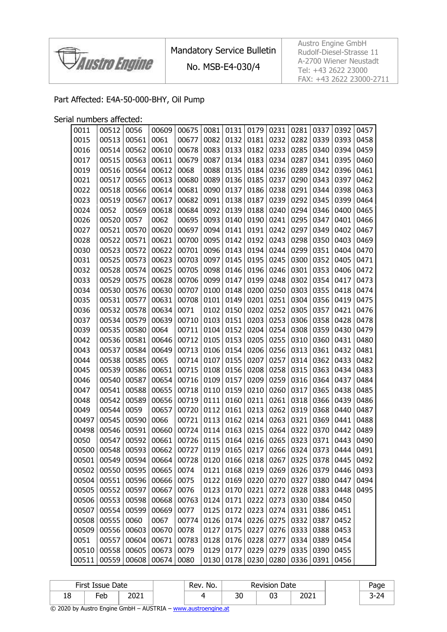

Mandatory Service Bulletin

No. MSB-E4-030/4

Austro Engine GmbH Rudolf-Diesel-Strasse 11 A-2700 Wiener Neustadt Tel: +43 2622 23000 FAX: +43 2622 23000-2711

#### Part Affected: E4A-50-000-BHY, Oil Pump

Serial numbers affected:

| 0011  | 00512 | 0056  | 00609          | 00675           | 0081 | 0131         | 0179 | 0231         | 0281 | 0337 | 0392 | 0457      |
|-------|-------|-------|----------------|-----------------|------|--------------|------|--------------|------|------|------|-----------|
| 0015  | 00513 | 00561 | 0061           | 00677           | 0082 | 0132         | 0181 | 0232         | 0282 | 0339 | 0393 | 0458      |
| 0016  | 00514 | 00562 | 00610          | 00678           | 0083 | 0133         | 0182 | 0233         | 0285 | 0340 | 0394 | 0459      |
| 0017  | 00515 | 00563 | 00611          | 00679           | 0087 | 0134         | 0183 | 0234         | 0287 | 0341 | 0395 | 0460      |
| 0019  | 00516 | 00564 | 00612          | 0068            | 0088 | 0135         | 0184 | 0236         | 0289 | 0342 | 0396 | 0461      |
| 0021  | 00517 | 00565 | 00613          | 00680           | 0089 | 0136         | 0185 | 0237         | 0290 | 0343 | 0397 | 0462      |
| 0022  | 00518 | 00566 | 00614          | 00681           | 0090 | 0137         | 0186 | 0238         | 0291 | 0344 | 0398 | 0463      |
| 0023  | 00519 | 00567 | 00617          | 00682           | 0091 | 0138         | 0187 | 0239         | 0292 | 0345 | 0399 | 0464      |
| 0024  | 0052  | 00569 | 00618          | 00684           | 0092 | 0139         | 0188 | 0240         | 0294 | 0346 | 0400 | 0465      |
| 0026  | 00520 | 0057  | 0062           | 00695           | 0093 | 0140         | 0190 | 0241         | 0295 | 0347 | 0401 | 0466      |
| 0027  | 00521 | 00570 | 00620          | 00697           | 0094 | 0141         | 0191 | 0242         | 0297 | 0349 | 0402 | 0467      |
| 0028  | 00522 | 00571 | 00621          | 00700           | 0095 | 0142         | 0192 | 0243         | 0298 | 0350 | 0403 | 0469      |
| 0030  | 00523 | 00572 | 00622          | 00701           | 0096 | 0143         | 0194 | 0244         | 0299 | 0351 | 0404 | 0470      |
| 0031  | 00525 | 00573 | 00623          | 00703           | 0097 | 0145         | 0195 | 0245         | 0300 | 0352 | 0405 | 0471      |
| 0032  | 00528 | 00574 | 00625          | 00705           | 0098 | 0146         | 0196 | 0246         | 0301 | 0353 | 0406 | 0472      |
| 0033  | 00529 | 00575 | 00628          | 00706           | 0099 | 0147         | 0199 | 0248         | 0302 | 0354 | 0417 | 0473      |
| 0034  | 00530 | 00576 | 00630          | 00707           | 0100 | 0148         | 0200 | 0250         | 0303 | 0355 | 0418 | 0474      |
| 0035  | 00531 | 00577 | 00631          | 00708           | 0101 | 0149         | 0201 | 0251         | 0304 | 0356 | 0419 | 0475      |
| 0036  | 00532 | 00578 | 00634          | 0071            | 0102 | 0150         | 0202 | 0252         | 0305 | 0357 | 0421 | 0476      |
| 0037  | 00534 | 00579 | 00639          | 00710           | 0103 | 0151         | 0203 | 0253         | 0306 | 0358 | 0428 | 0478      |
| 0039  | 00535 | 00580 | 0064           | 00711           | 0104 | 0152         | 0204 | 0254         | 0308 | 0359 | 0430 | 0479      |
| 0042  | 00536 | 00581 | 00646          | 00712           | 0105 | 0153         | 0205 | 0255         | 0310 | 0360 | 0431 | 0480      |
| 0043  | 00537 | 00584 | 00649          | 00713           | 0106 | 0154         | 0206 | 0256         | 0313 | 0361 | 0432 | 0481      |
| 0044  | 00538 | 00585 | 0065           | 00714           | 0107 | 0155         | 0207 | 0257         | 0314 | 0362 | 0433 | 0482      |
| 0045  | 00539 | 00586 | 00651          | 00715           | 0108 | 0156         | 0208 | 0258         | 0315 | 0363 | 0434 | 0483      |
| 0046  | 00540 | 00587 | 00654          | 00716           | 0109 | 0157         | 0209 | 0259         | 0316 | 0364 | 0437 | 0484      |
| 0047  | 00541 | 00588 | 00655          | 00718           | 0110 | 0159         | 0210 | 0260         | 0317 | 0365 | 0438 | 0485      |
| 0048  | 00542 | 00589 | 00656          | 00719           | 0111 | 0160         | 0211 | 0261         | 0318 | 0366 | 0439 | 0486      |
| 0049  | 00544 | 0059  | 00657          | 00720           | 0112 | 0161         | 0213 | 0262         | 0319 | 0368 | 0440 | 0487      |
| 00497 | 00545 | 00590 | 0066           | 00721           | 0113 | 0162         | 0214 | 0263         | 0321 | 0369 | 0441 | 0488      |
| 00498 | 00546 | 00591 | 00660          | 00724           | 0114 | 0163         | 0215 | 0264         | 0322 | 0370 | 0442 | 0489      |
| 0050  | 00547 | 00592 | 00661          | 00726           | 0115 | 0164         | 0216 | 0265         | 0323 | 0371 | 0443 | 0490      |
| 00500 | 00548 | 00593 | 00662          | 00727           | 0119 | 0165         | 0217 | 0266         | 0324 | 0373 | 0444 | 0491      |
| 00501 | 00549 | 00594 | 00664          | 00728 0120 0166 |      |              | 0218 | 0267 0325    |      | 0378 |      | 0445 0492 |
| 00502 | 00550 | 00595 | 00665          | 0074            | 0121 | 0168         | 0219 | 0269         | 0326 | 0379 | 0446 | 0493      |
| 00504 | 00551 | 00596 | 00666          | 0075            | 0122 | 0169         | 0220 | 0270         | 0327 | 0380 | 0447 | 0494      |
| 00505 | 00552 | 00597 | 00667          | 0076            | 0123 | 0170         | 0221 | 0272         | 0328 | 0383 | 0448 | 0495      |
| 00506 | 00553 | 00598 | 00668<br>00669 | 00763<br>0077   | 0124 | 0171<br>0172 | 0222 | 0273         | 0330 | 0384 | 0450 |           |
| 00507 | 00554 | 00599 |                |                 | 0125 |              | 0223 | 0274         | 0331 | 0386 | 0451 |           |
| 00508 | 00555 | 0060  | 0067           | 00774           | 0126 | 0174         | 0226 | 0275         | 0332 | 0387 | 0452 |           |
| 00509 | 00556 | 00603 | 00670          | 0078            | 0127 | 0175         | 0227 | 0276<br>0277 | 0333 | 0388 | 0453 |           |
| 0051  | 00557 | 00604 | 00671          | 00783           | 0128 | 0176         | 0228 |              | 0334 | 0389 | 0454 |           |
| 00510 | 00558 | 00605 | 00673          | 0079            | 0129 | 0177         | 0229 | 0279         | 0335 | 0390 | 0455 |           |
| 00511 | 00559 | 00608 | 00674          | 0080            | 0130 | 0178         | 0230 | 0280         | 0336 | 0391 | 0456 |           |

|    | First Issue Date |      | No.<br>Rev. |          | Date<br>Revision |      | Page     |
|----|------------------|------|-------------|----------|------------------|------|----------|
| ⊥∪ | -eb              | 2021 |             | 2ſ<br>υc |                  | 2021 | -24<br>ັ |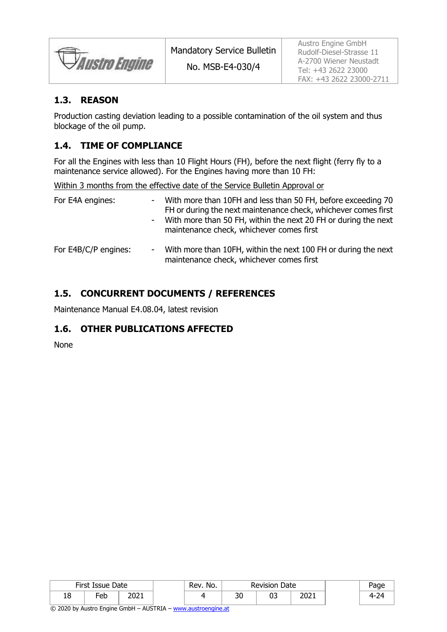Austro Engine

#### **1.3. REASON**

Production casting deviation leading to a possible contamination of the oil system and thus blockage of the oil pump.

### **1.4. TIME OF COMPLIANCE**

For all the Engines with less than 10 Flight Hours (FH), before the next flight (ferry fly to a maintenance service allowed). For the Engines having more than 10 FH:

Within 3 months from the effective date of the Service Bulletin Approval or

| For E4A engines:     | - With more than 10FH and less than 50 FH, before exceeding 70<br>FH or during the next maintenance check, whichever comes first<br>- With more than 50 FH, within the next 20 FH or during the next<br>maintenance check, whichever comes first |
|----------------------|--------------------------------------------------------------------------------------------------------------------------------------------------------------------------------------------------------------------------------------------------|
| For E4B/C/P engines: | - With more than 10FH, within the next 100 FH or during the next<br>maintenance check, whichever comes first                                                                                                                                     |

### **1.5. CONCURRENT DOCUMENTS / REFERENCES**

Maintenance Manual E4.08.04, latest revision

#### **1.6. OTHER PUBLICATIONS AFFECTED**

None

|    | First Issue Date |                      | Rev. No. |           | <b>Revision Date</b> |              | aae |
|----|------------------|----------------------|----------|-----------|----------------------|--------------|-----|
| 18 | -eb              | ∗ ר∩ר<br><b>LULI</b> |          | n c<br>3U | υ.                   | ור∩ר<br>ZUZI |     |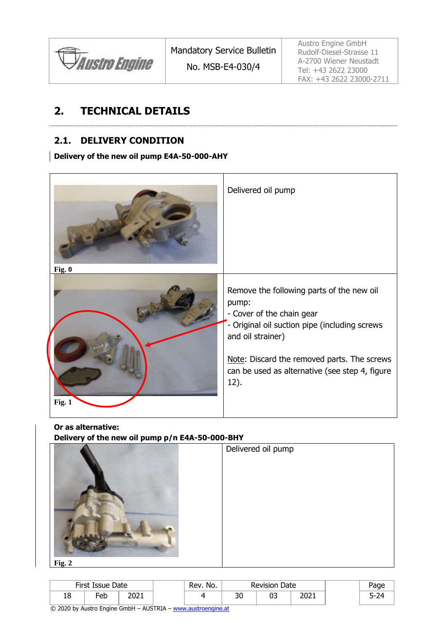

Austro Engine GmbH Rudolf-Diesel-Strasse 11 A-2700 Wiener Neustadt Tel: +43 2622 23000 FAX: +43 2622 23000-2711

### **2. TECHNICAL DETAILS**

#### **2.1. DELIVERY CONDITION**

**Delivery of the new oil pump E4A-50-000-AHY**



**Or as alternative:**

**Delivery of the new oil pump p/n E4A-50-000-BHY**



|    | First Issue Date |               | No.<br>ิ Rev. . |          | <b>Revision Date</b> |      |  |
|----|------------------|---------------|-----------------|----------|----------------------|------|--|
| ŦΟ | Fe <sub>b</sub>  | י במר<br>2021 |                 | הר<br>ას | ∩-<br>ບບ             | 2021 |  |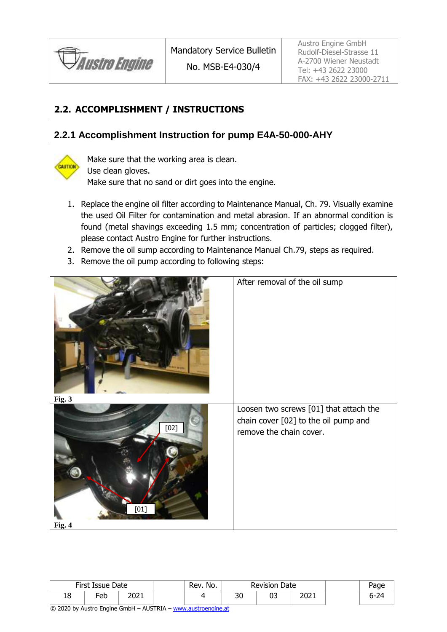

### <span id="page-5-0"></span>**2.2. ACCOMPLISHMENT / INSTRUCTIONS**

### **2.2.1 Accomplishment Instruction for pump E4A-50-000-AHY**



Make sure that the working area is clean. Use clean gloves. Make sure that no sand or dirt goes into the engine.

- 1. Replace the engine oil filter according to Maintenance Manual, Ch. 79. Visually examine the used Oil Filter for contamination and metal abrasion. If an abnormal condition is found (metal shavings exceeding 1.5 mm; concentration of particles; clogged filter), please contact Austro Engine for further instructions.
- 2. Remove the oil sump according to Maintenance Manual Ch.79, steps as required.
- 3. Remove the oil pump according to following steps:



|           | First Issue Date |               | Rev. No. |          | <b>Revision Date</b> |              | Page |
|-----------|------------------|---------------|----------|----------|----------------------|--------------|------|
| 1 C<br>Ιō | -eb              | י החר<br>∠∪∠⊥ |          | הר<br>υc | ^-<br>υ:             | ∗ר∩ר<br>ZUZI |      |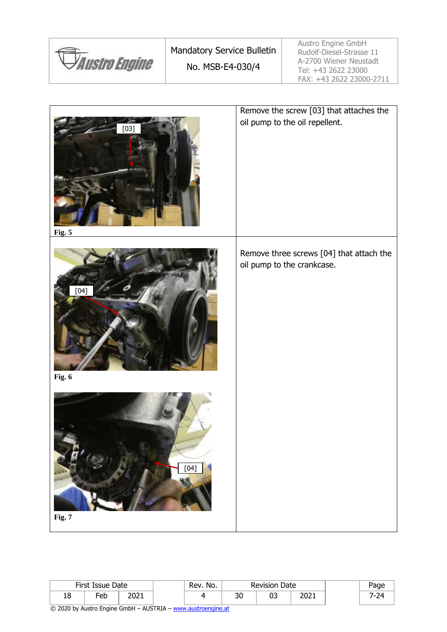|                             | <b>Mandatory Service Bulletin</b> | Austro Engine GmbH<br>Rudolf-Diesel-Strasse 11                            |
|-----------------------------|-----------------------------------|---------------------------------------------------------------------------|
| <i><b>Austro Engine</b></i> | No. MSB-E4-030/4                  | A-2700 Wiener Neustadt<br>Tel: +43 2622 23000<br>FAX: +43 2622 23000-2711 |



|           | First Issue Date |              | Rev. No. |          | <b>Revision Date</b> |              | Page |
|-----------|------------------|--------------|----------|----------|----------------------|--------------|------|
| 1 O<br>ΙŌ | Feb              | ∗ר∩ר<br>∠∪∠⊥ |          | 20<br>υc | UJ                   | ור∩ר<br>ZUZI |      |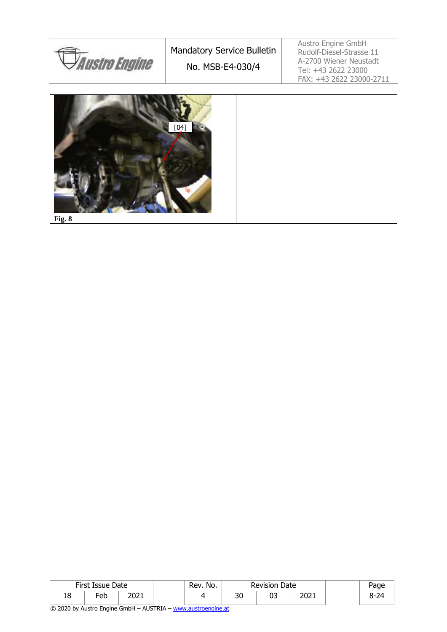



**Fig. 8**

|    | First Issue Date<br>Rev. No.<br><b>Revision Date</b> |               |  |  |                    |    |              | Page     |
|----|------------------------------------------------------|---------------|--|--|--------------------|----|--------------|----------|
| 18 | -eb                                                  | י רחר<br>∠∪∠⊥ |  |  | $\mathbf{a}$<br>υc | ∩− | יר∩ר<br>2021 | 74<br>~- |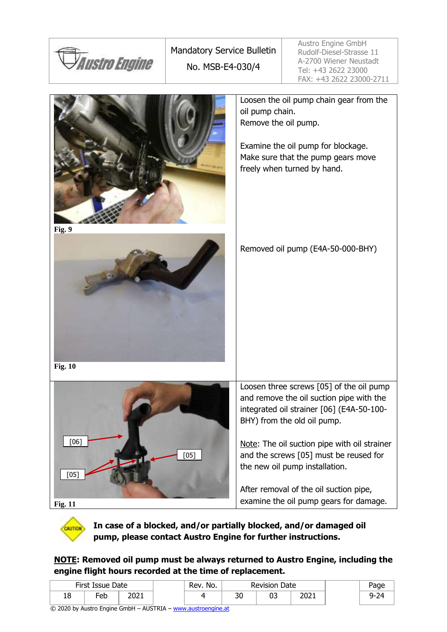



**In case of a blocked, and/or partially blocked, and/or damaged oil pump, please contact Austro Engine for further instructions.**

**NOTE: Removed oil pump must be always returned to Austro Engine, including the engine flight hours recorded at the time of replacement.**

|    | First Issue Date |      | Rev. No.<br><b>Revision Date</b> |          |    | Page |      |
|----|------------------|------|----------------------------------|----------|----|------|------|
| 18 | -eb              | 2021 |                                  | חכ<br>υc | υ. | 2021 | 9-24 |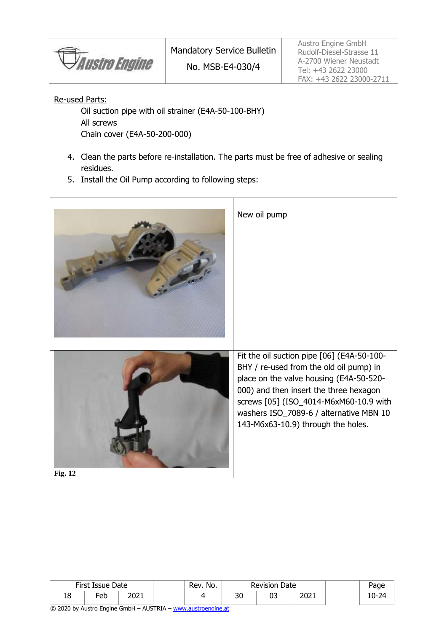Austro Engine

Re-used Parts:

Oil suction pipe with oil strainer (E4A-50-100-BHY) All screws Chain cover (E4A-50-200-000)

- 4. Clean the parts before re-installation. The parts must be free of adhesive or sealing residues.
- 5. Install the Oil Pump according to following steps:



|          | First Issue Date                |              | Rev. No. | <b>Revision Date</b> |    |      | Page     |
|----------|---------------------------------|--------------|----------|----------------------|----|------|----------|
| ۰.<br>ΤO | $\overline{\phantom{0}}$<br>-eb | יר∩ר<br>LUZI |          | ລດ<br>วบ             | UJ | 2021 | ำ−<br>⊿י |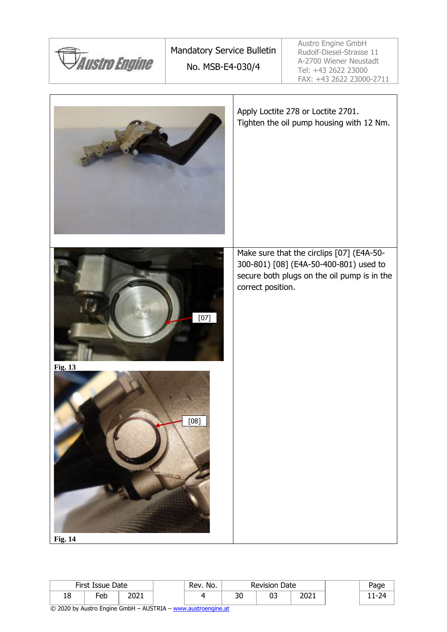| <i><b>Austro Engine</b></i>      | Mandatory Service Bulletin<br>No. MSB-E4-030/4 | Austro Engine GmbH<br>Rudolf-Diesel-Strasse 11<br>A-2700 Wiener Neustadt<br>Tel: +43 2622 23000<br>FAX: +43 2622 23000-2711                             |
|----------------------------------|------------------------------------------------|---------------------------------------------------------------------------------------------------------------------------------------------------------|
|                                  |                                                | Apply Loctite 278 or Loctite 2701.<br>Tighten the oil pump housing with 12 Nm.                                                                          |
| <b>Fig. 13</b><br><b>Fig. 14</b> | $[07]$<br>[08]                                 | Make sure that the circlips [07] (E4A-50-<br>300-801) [08] (E4A-50-400-801) used to<br>secure both plugs on the oil pump is in the<br>correct position. |

| First Issue Date |     | Rev. No.      |  | Date<br>Revision [ |    | Page        |    |
|------------------|-----|---------------|--|--------------------|----|-------------|----|
| 18               | -eb | י המר<br>LULI |  | or.<br>υc          | n- | ∘ה∩<br>2021 | -- |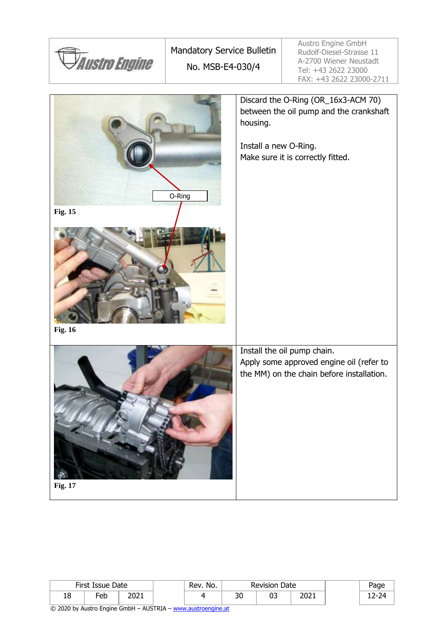

| <b>Fig. 17</b> |  |
|----------------|--|
|                |  |

|    | First Issue Date |              | No.<br>Rev. |    | <b>Revision Date</b> |      |  | Page |
|----|------------------|--------------|-------------|----|----------------------|------|--|------|
| 18 | -eb              | י רחר<br>ᅩ◡ᅩ |             | JU | ∩-<br>ັບ             | 2021 |  | .    |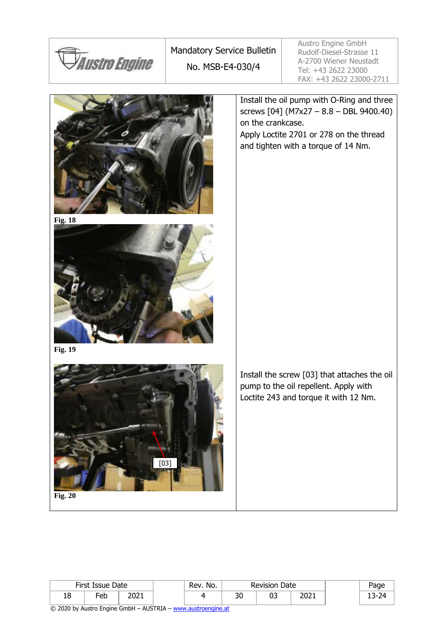

Mandatory Service Bulletin No. MSB-E4-030/4

Austro Engine GmbH Rudolf-Diesel-Strasse 11 A-2700 Wiener Neustadt Tel: +43 2622 23000 FAX: +43 2622 23000-2711

Install the oil pump with O-Ring and three screws [04] (M7x27 – 8.8 – DBL 9400.40) on the crankcase. Apply Loctite 2701 or 278 on the thread and tighten with a torque of 14 Nm.





**Fig. 19**



Install the screw [03] that attaches the oil pump to the oil repellent. Apply with Loctite 243 and torque it with 12 Nm.

| ۰ |  |
|---|--|
|---|--|

|    | First Issue Date |      | Rev. No. | <b>Revision Date</b> |    |              |  | aae       |
|----|------------------|------|----------|----------------------|----|--------------|--|-----------|
| 18 | -<br>−or<br>cu   | 2021 |          | $\mathcal{L}$<br>υc  | ບວ | ∙ר∩ר<br>ZUZI |  | ⊿ר<br>ı — |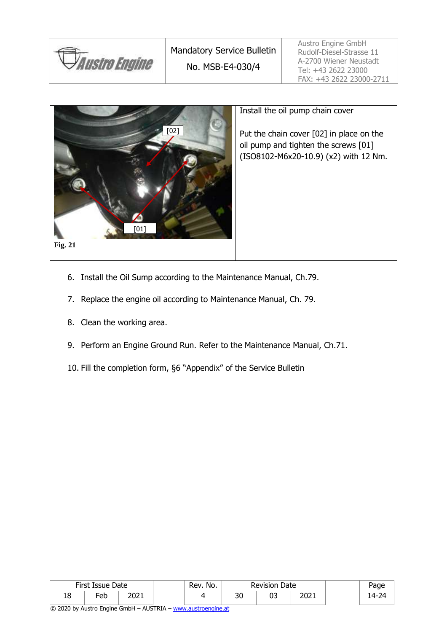



#### Install the oil pump chain cover

Put the chain cover [02] in place on the oil pump and tighten the screws [01] (ISO8102-M6x20-10.9) (x2) with 12 Nm.

- 6. Install the Oil Sump according to the Maintenance Manual, Ch.79.
- 7. Replace the engine oil according to Maintenance Manual, Ch. 79.
- 8. Clean the working area.
- 9. Perform an Engine Ground Run. Refer to the Maintenance Manual, Ch.71.
- 10. Fill the completion form, §6 "Appendix" of the Service Bulletin

|    | First Issue Date |      | Rev. No. | <b>Revision Date</b> |    |      | Page              |
|----|------------------|------|----------|----------------------|----|------|-------------------|
| 18 | -eb              | 2021 |          | 30                   | ບວ | 2021 | -24<br><u>ً م</u> |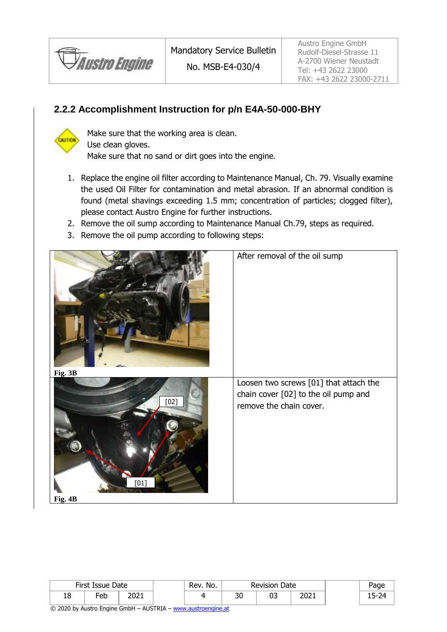

### **2.2.2 Accomplishment Instruction for p/n E4A-50-000-BHY**



Make sure that the working area is clean. Use clean gloves. Make sure that no sand or dirt goes into the engine.

- 1. Replace the engine oil filter according to Maintenance Manual, Ch. 79. Visually examine the used Oil Filter for contamination and metal abrasion. If an abnormal condition is found (metal shavings exceeding 1.5 mm; concentration of particles; clogged filter), please contact Austro Engine for further instructions.
- 2. Remove the oil sump according to Maintenance Manual Ch.79, steps as required.
- 3. Remove the oil pump according to following steps:



| First Issue Date |     | Rev. No.     | Date<br>Revision |          | Page     |              |              |
|------------------|-----|--------------|------------------|----------|----------|--------------|--------------|
| 18               | -eb | ור∩ר<br>∠∪∠⊥ |                  | nr<br>υc | ^^<br>ບວ | ∙ר∩ר<br>∠∪∠⊥ | בר<br>`<br>. |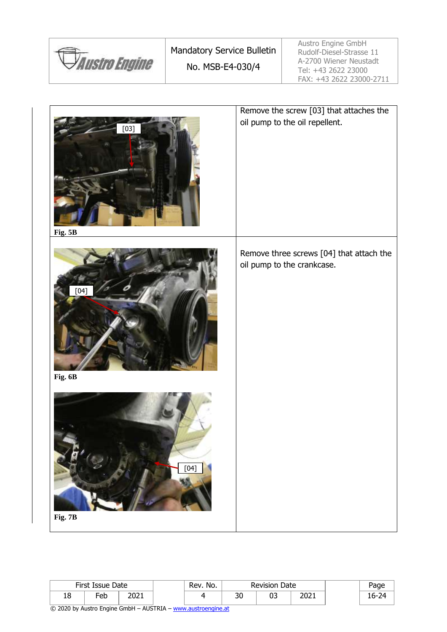|                             | <b>Mandatory Service Bulletin</b> | Austro Engine GmbH<br>Rudolf-Diesel-Strasse 11                            |
|-----------------------------|-----------------------------------|---------------------------------------------------------------------------|
| <i><b>Austro Engine</b></i> | No. MSB-E4-030/4                  | A-2700 Wiener Neustadt<br>Tel: +43 2622 23000<br>FAX: +43 2622 23000-2711 |



|    | First Issue Date |               | `Rev.No. |           | Date<br><b>Revision</b> |              | Page  |
|----|------------------|---------------|----------|-----------|-------------------------|--------------|-------|
| 10 | -eb              | י המר<br>ZUZI |          | no.<br>JU | 03                      | ורחר<br>2021 | $h$ . |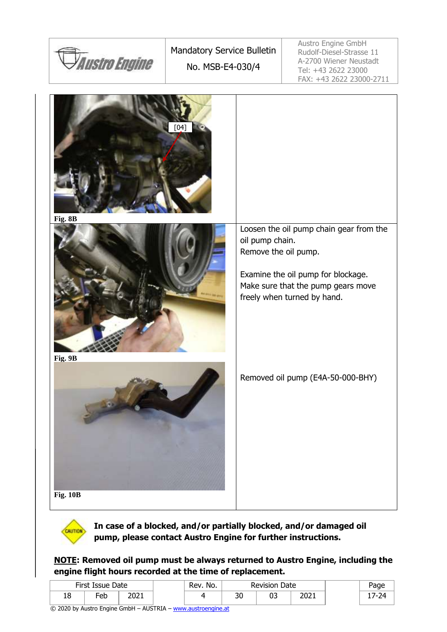





**In case of a blocked, and/or partially blocked, and/or damaged oil pump, please contact Austro Engine for further instructions.**

**NOTE: Removed oil pump must be always returned to Austro Engine, including the engine flight hours recorded at the time of replacement.**

|    | First Issue Date |              | `Rev.No. | <b>Revision Date</b> |    | Page |    |
|----|------------------|--------------|----------|----------------------|----|------|----|
| ΤO | -eb              | ור∩ר<br>∠∪∠⊥ |          | nr<br>υc             | uJ | 2021 | 74 |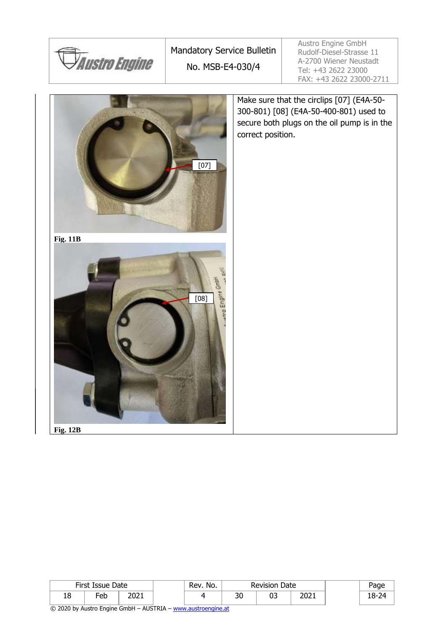

Mandatory Service Bulletin No. MSB-E4-030/4

Austro Engine GmbH Rudolf-Diesel-Strasse 11 A-2700 Wiener Neustadt Tel: +43 2622 23000 FAX: +43 2622 23000-2711

Make sure that the circlips [07] (E4A-50- 300-801) [08] (E4A-50-400-801) used to secure both plugs on the oil pump is in the correct position. [07] **Fig. 11B** 둘 etro Engine Gribil [08]**Fig. 12B**

First Issue Date  $\vert$  Rev. No. Revision Date  $\vert$  Page 18 | Feb | 2021 | | 4 | 30 | 03 | 2021 | | 18-24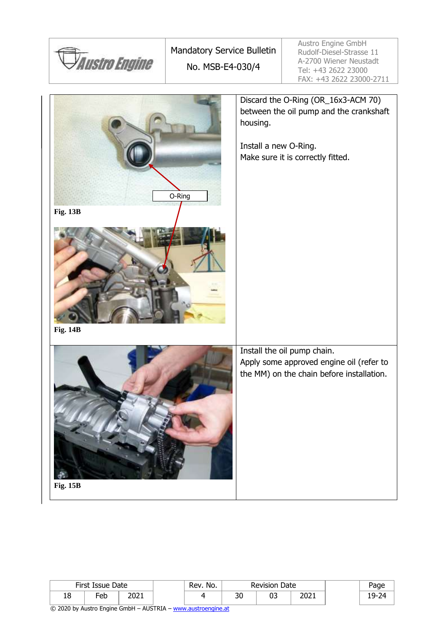



|         | First Issue Date |              | Rev. No. |          | <b>Revision Date</b> |              | aae        |
|---------|------------------|--------------|----------|----------|----------------------|--------------|------------|
| O<br>ΤO | −eb              | י המר<br>ᅩ◡ᄼ |          | חר<br>υc | υ.                   | ∘ר∩ר<br>ZUZI | ۵- C<br>-- |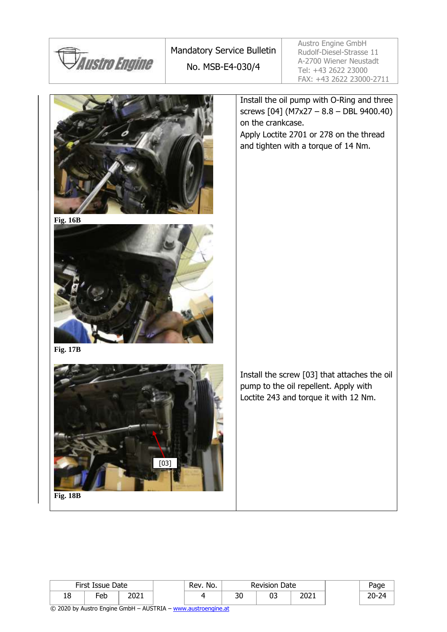

Mandatory Service Bulletin No. MSB-E4-030/4

Austro Engine GmbH Rudolf-Diesel-Strasse 11 A-2700 Wiener Neustadt Tel: +43 2622 23000 FAX: +43 2622 23000-2711

Install the oil pump with O-Ring and three screws [04] (M7x27 – 8.8 – DBL 9400.40) on the crankcase. Apply Loctite 2701 or 278 on the thread and tighten with a torque of 14 Nm.





**Fig. 17B**



Install the screw [03] that attaches the oil pump to the oil repellent. Apply with Loctite 243 and torque it with 12 Nm.

| Fi | 8B |
|----|----|
| ıσ | ш  |

|    | First Issue Date |      | Rev. No. |          | <b>Revision Date</b> |      | Page             |
|----|------------------|------|----------|----------|----------------------|------|------------------|
| 18 | -eb              | 2021 |          | っへ<br>υc |                      | 2021 | חר<br>י ה<br>-יי |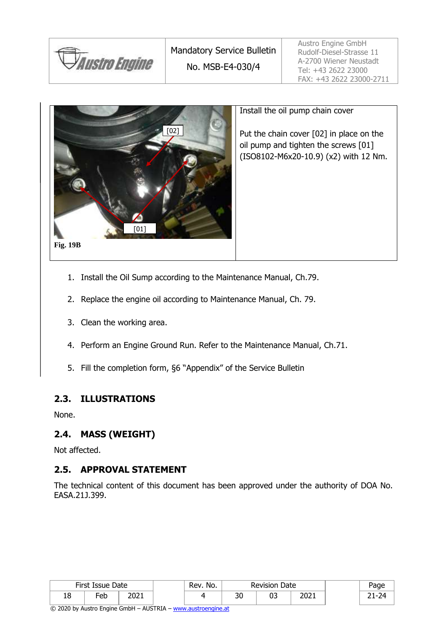



#### Install the oil pump chain cover

Put the chain cover [02] in place on the oil pump and tighten the screws [01] (ISO8102-M6x20-10.9) (x2) with 12 Nm.

- 1. Install the Oil Sump according to the Maintenance Manual, Ch.79.
- 2. Replace the engine oil according to Maintenance Manual, Ch. 79.
- 3. Clean the working area.
- 4. Perform an Engine Ground Run. Refer to the Maintenance Manual, Ch.71.
- 5. Fill the completion form, §6 "Appendix" of the Service Bulletin

#### **2.3. ILLUSTRATIONS**

None.

#### **2.4. MASS (WEIGHT)**

Not affected.

#### **2.5. APPROVAL STATEMENT**

The technical content of this document has been approved under the authority of DOA No. EASA.21J.399.

|    | First Issue Date |      | Rev. No. |           | Date<br>Revision |              | Page    |
|----|------------------|------|----------|-----------|------------------|--------------|---------|
| 18 | -eb              | 2021 |          | ົາດ<br>ას | uJ               | ור∩ר<br>ZUZ. | 74<br>- |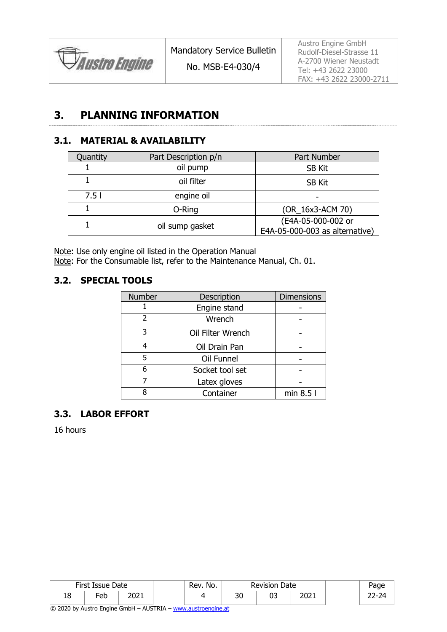

Austro Engine GmbH Rudolf-Diesel-Strasse 11 A-2700 Wiener Neustadt Tel: +43 2622 23000 FAX: +43 2622 23000-2711

### **3. PLANNING INFORMATION**

#### **3.1. MATERIAL & AVAILABILITY**

| Quantity | Part Description p/n | Part Number                                          |
|----------|----------------------|------------------------------------------------------|
|          | oil pump             | <b>SB Kit</b>                                        |
|          | oil filter           | <b>SB Kit</b>                                        |
| 7.51     | engine oil           |                                                      |
|          | O-Ring               | (OR_16x3-ACM 70)                                     |
|          | oil sump gasket      | (E4A-05-000-002 or<br>E4A-05-000-003 as alternative) |

Note: Use only engine oil listed in the Operation Manual Note: For the Consumable list, refer to the Maintenance Manual, Ch. 01.

#### **3.2. SPECIAL TOOLS**

| Number | Description       | <b>Dimensions</b> |
|--------|-------------------|-------------------|
|        | Engine stand      |                   |
| 2      | Wrench            |                   |
| 3      | Oil Filter Wrench |                   |
|        | Oil Drain Pan     |                   |
| 5      | Oil Funnel        |                   |
| 6      | Socket tool set   |                   |
|        | Latex gloves      |                   |
|        | Container         | min 8.5 l         |

#### **3.3. LABOR EFFORT**

16 hours

|    | First Issue Date |               | ' Rev. No. |           | <b>Revision Date</b> |      | Page  |
|----|------------------|---------------|------------|-----------|----------------------|------|-------|
| TO | Feb              | י רחר<br>∠∪∠⊥ |            | ົາດ<br>υc | ບວ                   | 2021 | $-24$ |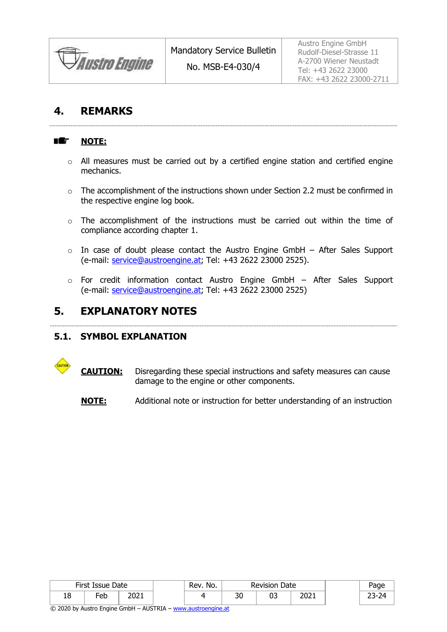*Austro Engine* 

### **4. REMARKS**

#### HE. **NOTE:**

- o All measures must be carried out by a certified engine station and certified engine mechanics.
- o The accomplishment of the instructions shown under Section [2.2](#page-5-0) must be confirmed in the respective engine log book.
- $\circ$  The accomplishment of the instructions must be carried out within the time of compliance according chapter 1.
- $\circ$  In case of doubt please contact the Austro Engine GmbH After Sales Support (e-mail: [service@austroengine.at;](mailto:service@austroengine.at) Tel: +43 2622 23000 2525).
- $\circ$  For credit information contact Austro Engine GmbH After Sales Support (e-mail: [service@austroengine.at;](mailto:service@austroengine.at) Tel: +43 2622 23000 2525)

### **5. EXPLANATORY NOTES**

#### **5.1. SYMBOL EXPLANATION**

- **CAUTION:** Disregarding these special instructions and safety measures can cause damage to the engine or other components.
	- **NOTE:** Additional note or instruction for better understanding of an instruction

|         | First Issue Date |               | Rev. No. |              | <b>Revision Date</b> |                      | Page      |
|---------|------------------|---------------|----------|--------------|----------------------|----------------------|-----------|
| o<br>TO | -eb              | ּ ר∩ר<br>ZUZI |          | $\sim$<br>υc | ∩−<br>υ.             | י המר<br><b>2021</b> | -74<br>-- |